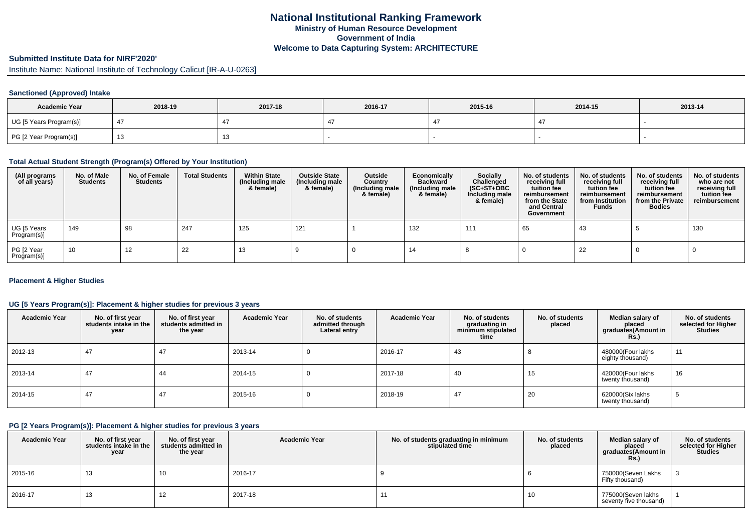# **Submitted Institute Data for NIRF'2020'**

Institute Name: National Institute of Technology Calicut [IR-A-U-0263]

### **Sanctioned (Approved) Intake**

| <b>Academic Year</b>    | 2018-19 | 2017-18 | 2016-17 | 2015-16 | 2014-15 | 2013-14 |
|-------------------------|---------|---------|---------|---------|---------|---------|
| UG [5 Years Program(s)] |         |         |         |         |         |         |
| PG [2 Year Program(s)]  |         |         |         |         |         |         |

#### **Total Actual Student Strength (Program(s) Offered by Your Institution)**

| (All programs<br>of all years) | No. of Male<br><b>Students</b> | No. of Female<br><b>Students</b> | <b>Total Students</b> | <b>Within State</b><br>(Including male<br>& female) | <b>Outside State</b><br>(Including male<br>& female) | Outside<br>Country<br>(Including male<br>& female) | Economically<br><b>Backward</b><br>(Including male<br>& female) | Socially<br>Challenged<br>$(SC+ST+OBC)$<br>Including male<br>& female) | No. of students<br>receiving full<br>tuition fee<br>reimbursement<br>from the State<br>and Central<br>Government | No. of students<br>receiving full<br>tuition fee<br>reimbursement<br>from Institution<br><b>Funds</b> | No. of students<br>receiving full<br>tuition fee<br>reimbursement<br>from the Private<br><b>Bodies</b> | No. of students<br>who are not<br>receiving full<br>tuition fee<br>reimbursement |
|--------------------------------|--------------------------------|----------------------------------|-----------------------|-----------------------------------------------------|------------------------------------------------------|----------------------------------------------------|-----------------------------------------------------------------|------------------------------------------------------------------------|------------------------------------------------------------------------------------------------------------------|-------------------------------------------------------------------------------------------------------|--------------------------------------------------------------------------------------------------------|----------------------------------------------------------------------------------|
| UG [5 Years<br>Program(s)]     | 149                            | 98                               | 247                   | 125                                                 | 121                                                  |                                                    | 132                                                             | 111                                                                    | 65                                                                                                               | 43                                                                                                    |                                                                                                        | 130                                                                              |
| PG [2 Year<br>Program(s)]      | 10                             | 12                               | 22                    | د ا                                                 |                                                      |                                                    | 14                                                              |                                                                        |                                                                                                                  | 22                                                                                                    |                                                                                                        |                                                                                  |

#### **Placement & Higher Studies**

#### **UG [5 Years Program(s)]: Placement & higher studies for previous 3 years**

| <b>Academic Year</b> | No. of first year<br>students intake in the<br>year | No. of first vear<br>students admitted in<br>the year | <b>Academic Year</b> | No. of students<br>admitted through<br>Lateral entry | <b>Academic Year</b> | No. of students<br>graduating in<br>minimum stipulated<br>time | No. of students<br>placed | Median salary of<br>placed<br>graduates(Amount in<br>Rs. | No. of students<br>selected for Higher<br><b>Studies</b> |
|----------------------|-----------------------------------------------------|-------------------------------------------------------|----------------------|------------------------------------------------------|----------------------|----------------------------------------------------------------|---------------------------|----------------------------------------------------------|----------------------------------------------------------|
| 2012-13              | 47                                                  | 47                                                    | 2013-14              |                                                      | 2016-17              | 43                                                             |                           | 480000(Four lakhs<br>eighty thousand)                    | 11                                                       |
| 2013-14              | 47                                                  | 44                                                    | 2014-15              |                                                      | 2017-18              | 40                                                             | 15                        | 420000(Four lakhs<br>twenty thousand)                    | 16                                                       |
| 2014-15              | 47                                                  | 47                                                    | 2015-16              |                                                      | 2018-19              | 47                                                             | 20                        | 620000(Six lakhs<br>twenty thousand)                     | Ð                                                        |

### **PG [2 Years Program(s)]: Placement & higher studies for previous 3 years**

| <b>Academic Year</b> | No. of first year<br>students intake in the<br>year | No. of first vear<br>students admitted in<br>the year | <b>Academic Year</b> | No. of students graduating in minimum<br>stipulated time | No. of students<br>placed | Median salary of<br>placed<br>graduates(Amount in<br>Rs.) | No. of students<br>selected for Higher<br><b>Studies</b> |
|----------------------|-----------------------------------------------------|-------------------------------------------------------|----------------------|----------------------------------------------------------|---------------------------|-----------------------------------------------------------|----------------------------------------------------------|
| 2015-16              | 13                                                  | 10                                                    | 2016-17              |                                                          |                           | 750000(Seven Lakhs<br>Fifty thousand)                     |                                                          |
| 2016-17              | 13                                                  | 12                                                    | 2017-18              | 11                                                       | 10                        | 775000(Seven lakhs<br>seventy five thousand)              |                                                          |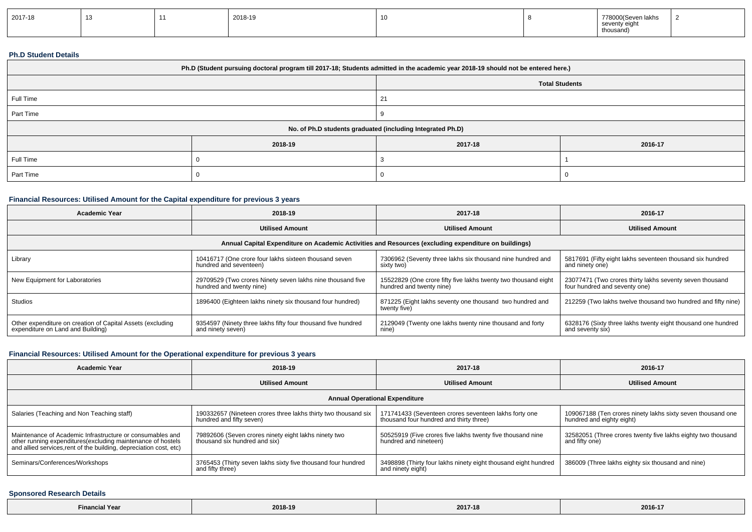| 2017-18 |  |  | 2018-19 |  |  | 00 Seven lakhs<br>77800<br>seventy eight<br>thousand) |  |
|---------|--|--|---------|--|--|-------------------------------------------------------|--|
|---------|--|--|---------|--|--|-------------------------------------------------------|--|

#### **Ph.D Student Details**

| Ph.D (Student pursuing doctoral program till 2017-18; Students admitted in the academic year 2018-19 should not be entered here.) |         |                       |         |  |  |
|-----------------------------------------------------------------------------------------------------------------------------------|---------|-----------------------|---------|--|--|
|                                                                                                                                   |         | <b>Total Students</b> |         |  |  |
| Full Time                                                                                                                         |         | 21                    |         |  |  |
| Part Time                                                                                                                         |         |                       |         |  |  |
| No. of Ph.D students graduated (including Integrated Ph.D)                                                                        |         |                       |         |  |  |
|                                                                                                                                   | 2018-19 | 2017-18               | 2016-17 |  |  |
| Full Time                                                                                                                         |         |                       |         |  |  |
| Part Time                                                                                                                         |         |                       |         |  |  |

## **Financial Resources: Utilised Amount for the Capital expenditure for previous 3 years**

| Academic Year                                                                                        | 2018-19                                                                                | 2017-18                                                                                    | 2016-17                                                                                   |  |  |  |  |
|------------------------------------------------------------------------------------------------------|----------------------------------------------------------------------------------------|--------------------------------------------------------------------------------------------|-------------------------------------------------------------------------------------------|--|--|--|--|
|                                                                                                      | <b>Utilised Amount</b>                                                                 | <b>Utilised Amount</b>                                                                     | <b>Utilised Amount</b>                                                                    |  |  |  |  |
| Annual Capital Expenditure on Academic Activities and Resources (excluding expenditure on buildings) |                                                                                        |                                                                                            |                                                                                           |  |  |  |  |
| Library                                                                                              | 10416717 (One crore four lakhs sixteen thousand seven<br>hundred and seventeen)        | 7306962 (Seventy three lakhs six thousand nine hundred and<br>sixty two)                   | 5817691 (Fifty eight lakhs seventeen thousand six hundred<br>and ninety one)              |  |  |  |  |
| New Equipment for Laboratories                                                                       | 29709529 (Two crores Ninety seven lakhs nine thousand five<br>hundred and twenty nine) | 15522829 (One crore fifty five lakhs twenty two thousand eight<br>hundred and twenty nine) | 23077471 (Two crores thirty lakhs seventy seven thousand<br>four hundred and seventy one) |  |  |  |  |
| <b>Studios</b>                                                                                       | 1896400 (Eighteen lakhs ninety six thousand four hundred)                              | 871225 (Eight lakhs seventy one thousand two hundred and<br>twenty five)                   | 212259 (Two lakhs twelve thousand two hundred and fifty nine)                             |  |  |  |  |
| Other expenditure on creation of Capital Assets (excluding<br>expenditure on Land and Building)      | 9354597 (Ninety three lakhs fifty four thousand five hundred<br>and ninety seven)      | 2129049 (Twenty one lakhs twenty nine thousand and forty<br>nine)                          | 6328176 (Sixty three lakhs twenty eight thousand one hundred<br>and seventy six)          |  |  |  |  |

## **Financial Resources: Utilised Amount for the Operational expenditure for previous 3 years**

| <b>Academic Year</b>                                                                                                                                                                            | 2018-19                                                                                    | 2017-18                                                                                          | 2016-17                                                                                  |  |  |  |  |
|-------------------------------------------------------------------------------------------------------------------------------------------------------------------------------------------------|--------------------------------------------------------------------------------------------|--------------------------------------------------------------------------------------------------|------------------------------------------------------------------------------------------|--|--|--|--|
|                                                                                                                                                                                                 | <b>Utilised Amount</b>                                                                     | <b>Utilised Amount</b>                                                                           | <b>Utilised Amount</b>                                                                   |  |  |  |  |
| <b>Annual Operational Expenditure</b>                                                                                                                                                           |                                                                                            |                                                                                                  |                                                                                          |  |  |  |  |
| Salaries (Teaching and Non Teaching staff)                                                                                                                                                      | 190332657 (Nineteen crores three lakhs thirty two thousand six<br>hundred and fifty seven) | 171741433 (Seventeen crores seventeen lakhs forty one<br>thousand four hundred and thirty three) | 109067188 (Ten crores ninety lakhs sixty seven thousand one<br>hundred and eighty eight) |  |  |  |  |
| Maintenance of Academic Infrastructure or consumables and<br>other running expenditures (excluding maintenance of hostels<br>and allied services, rent of the building, depreciation cost, etc) | 79892606 (Seven crores ninety eight lakhs ninety two<br>thousand six hundred and six)      | 50525919 (Five crores five lakhs twenty five thousand nine<br>hundred and nineteen)              | 32582051 (Three crores twenty five lakhs eighty two thousand<br>and fifty one)           |  |  |  |  |
| Seminars/Conferences/Workshops                                                                                                                                                                  | 3765453 (Thirty seven lakhs sixty five thousand four hundred<br>and fifty three)           | 3498898 (Thirty four lakhs ninety eight thousand eight hundred<br>and ninety eight)              | 386009 (Three lakhs eighty six thousand and nine)                                        |  |  |  |  |

### **Sponsored Research Details**

| the contract of the contract of the<br>ancial Year and The Terms and | AA<br>- ZU I L<br>. | 2017-18 | 2016-17 |
|----------------------------------------------------------------------|---------------------|---------|---------|
|----------------------------------------------------------------------|---------------------|---------|---------|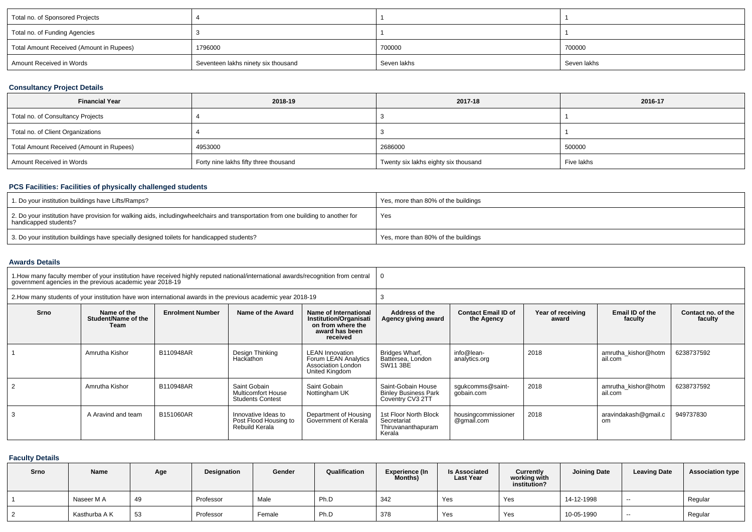| Total no. of Sponsored Projects          |                                     |             |             |
|------------------------------------------|-------------------------------------|-------------|-------------|
| Total no. of Funding Agencies            |                                     |             |             |
| Total Amount Received (Amount in Rupees) | 1796000                             | 700000      | 700000      |
| Amount Received in Words                 | Seventeen lakhs ninety six thousand | Seven lakhs | Seven lakhs |

## **Consultancy Project Details**

| <b>Financial Year</b>                    | 2018-19                               | 2017-18                              | 2016-17    |
|------------------------------------------|---------------------------------------|--------------------------------------|------------|
| Total no. of Consultancy Projects        |                                       |                                      |            |
| Total no. of Client Organizations        |                                       |                                      |            |
| Total Amount Received (Amount in Rupees) | 4953000                               | 2686000                              | 500000     |
| Amount Received in Words                 | Forty nine lakhs fifty three thousand | Twenty six lakhs eighty six thousand | Five lakhs |

## **PCS Facilities: Facilities of physically challenged students**

| 1. Do your institution buildings have Lifts/Ramps?                                                                                                        | Yes, more than 80% of the buildings |
|-----------------------------------------------------------------------------------------------------------------------------------------------------------|-------------------------------------|
| 2. Do your institution have provision for walking aids, includingwheelchairs and transportation from one building to another for<br>handicapped students? | Yes                                 |
| 3. Do your institution buildings have specially designed toilets for handicapped students?                                                                | Yes, more than 80% of the buildings |

#### **Awards Details**

|      | 1. How many faculty member of your institution have received highly reputed national/international awards/recognition from central government agencies in the previous academic year 2018-19 |                         |                                                                      |                                                                                                           |                                                                                   |                                   |                            |                                |                               |  |  |
|------|----------------------------------------------------------------------------------------------------------------------------------------------------------------------------------------------|-------------------------|----------------------------------------------------------------------|-----------------------------------------------------------------------------------------------------------|-----------------------------------------------------------------------------------|-----------------------------------|----------------------------|--------------------------------|-------------------------------|--|--|
|      | 2. How many students of your institution have won international awards in the previous academic year 2018-19                                                                                 |                         |                                                                      |                                                                                                           |                                                                                   |                                   |                            |                                |                               |  |  |
| Srno | Name of the<br>Student/Name of the<br>Team                                                                                                                                                   | <b>Enrolment Number</b> | Name of the Award                                                    | Name of International<br><b>Institution/Organisati</b><br>on from where the<br>award has been<br>received | Address of the<br><b>Contact Email ID of</b><br>Agency giving award<br>the Agency |                                   | Year of receiving<br>award | Email ID of the<br>faculty     | Contact no. of the<br>faculty |  |  |
|      | Amrutha Kishor                                                                                                                                                                               | B110948AR               | Design Thinking<br>Hackathon                                         | <b>LEAN Innovation</b><br>Forum LEAN Analytics<br>Association London<br>United Kingdom                    | Bridges Wharf,<br>Battersea, London<br>SW11 3BE                                   | info@lean-<br>analytics.org       | 2018                       | amrutha kishor@hotm<br>ail.com | 6238737592                    |  |  |
|      | Amrutha Kishor                                                                                                                                                                               | B110948AR               | Saint Gobain<br><b>Multicomfort House</b><br><b>Students Contest</b> | Saint Gobain<br>Nottingham UK                                                                             | Saint-Gobain House<br><b>Binley Business Park</b><br>Coventry CV3 2TT             | squkcomms@saint-<br>gobain.com    | 2018                       | amrutha kishor@hotm<br>ail.com | 6238737592                    |  |  |
|      | A Aravind and team                                                                                                                                                                           | B151060AR               | Innovative Ideas to<br>Post Flood Housing to<br>Rebuild Kerala       | Department of Housing<br>Government of Kerala                                                             | 1st Floor North Block<br>Secretariat<br>Thiruvananthapuram<br>Kerala              | housingcommissioner<br>@gmail.com | 2018                       | aravindakash@gmail.c<br>om     | 949737830                     |  |  |

### **Faculty Details**

| Srno | Name          | Age | <b>Designation</b> | Gender | Qualification | Experience (In<br>Months) | <b>Is Associated</b><br><b>Last Year</b> | Currently<br>working with<br>institution? | <b>Joining Date</b> | <b>Leaving Date</b> | <b>Association type</b> |
|------|---------------|-----|--------------------|--------|---------------|---------------------------|------------------------------------------|-------------------------------------------|---------------------|---------------------|-------------------------|
|      | Naseer M A    | 49  | Professor          | Male   | Ph.D          | 342                       | Yes                                      | Yes                                       | 14-12-1998          | $- -$               | Regular                 |
|      | Kasthurba A K | 53  | Professor          | Female | Ph.D          | 378                       | Yes                                      | Yes                                       | 10-05-1990          | $- -$               | Regular                 |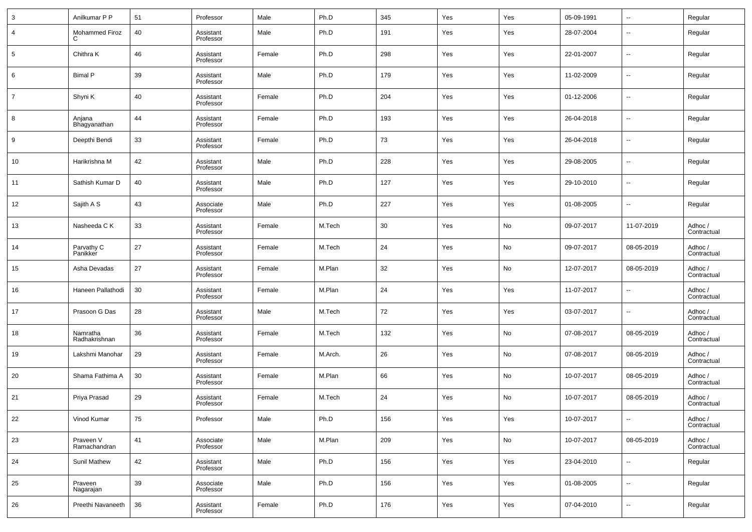| 3  | Anilkumar P P             | 51 | Professor              | Male   | Ph.D    | 345 | Yes | Yes | 05-09-1991 | $\ddotsc$                | Regular                |
|----|---------------------------|----|------------------------|--------|---------|-----|-----|-----|------------|--------------------------|------------------------|
| 4  | Mohammed Firoz<br>C       | 40 | Assistant<br>Professor | Male   | Ph.D    | 191 | Yes | Yes | 28-07-2004 | $\overline{\phantom{a}}$ | Regular                |
| 5  | Chithra K                 | 46 | Assistant<br>Professor | Female | Ph.D    | 298 | Yes | Yes | 22-01-2007 | $\overline{\phantom{a}}$ | Regular                |
| 6  | <b>Bimal P</b>            | 39 | Assistant<br>Professor | Male   | Ph.D    | 179 | Yes | Yes | 11-02-2009 | --                       | Regular                |
| 7  | Shyni K                   | 40 | Assistant<br>Professor | Female | Ph.D    | 204 | Yes | Yes | 01-12-2006 | $\overline{\phantom{a}}$ | Regular                |
| 8  | Anjana<br>Bhagyanathan    | 44 | Assistant<br>Professor | Female | Ph.D    | 193 | Yes | Yes | 26-04-2018 | $\overline{\phantom{a}}$ | Regular                |
| 9  | Deepthi Bendi             | 33 | Assistant<br>Professor | Female | Ph.D    | 73  | Yes | Yes | 26-04-2018 | --                       | Regular                |
| 10 | Harikrishna M             | 42 | Assistant<br>Professor | Male   | Ph.D    | 228 | Yes | Yes | 29-08-2005 | $\overline{\phantom{a}}$ | Regular                |
| 11 | Sathish Kumar D           | 40 | Assistant<br>Professor | Male   | Ph.D    | 127 | Yes | Yes | 29-10-2010 | --                       | Regular                |
| 12 | Sajith A S                | 43 | Associate<br>Professor | Male   | Ph.D    | 227 | Yes | Yes | 01-08-2005 | --                       | Regular                |
| 13 | Nasheeda C K              | 33 | Assistant<br>Professor | Female | M.Tech  | 30  | Yes | No  | 09-07-2017 | 11-07-2019               | Adhoc /<br>Contractual |
| 14 | Parvathy C<br>Panikker    | 27 | Assistant<br>Professor | Female | M.Tech  | 24  | Yes | No  | 09-07-2017 | 08-05-2019               | Adhoc /<br>Contractual |
| 15 | Asha Devadas              | 27 | Assistant<br>Professor | Female | M.Plan  | 32  | Yes | No  | 12-07-2017 | 08-05-2019               | Adhoc /<br>Contractual |
| 16 | Haneen Pallathodi         | 30 | Assistant<br>Professor | Female | M.Plan  | 24  | Yes | Yes | 11-07-2017 | --                       | Adhoc /<br>Contractual |
| 17 | Prasoon G Das             | 28 | Assistant<br>Professor | Male   | M.Tech  | 72  | Yes | Yes | 03-07-2017 | --                       | Adhoc /<br>Contractual |
| 18 | Namratha<br>Radhakrishnan | 36 | Assistant<br>Professor | Female | M.Tech  | 132 | Yes | No  | 07-08-2017 | 08-05-2019               | Adhoc /<br>Contractual |
| 19 | Lakshmi Manohar           | 29 | Assistant<br>Professor | Female | M.Arch. | 26  | Yes | No  | 07-08-2017 | 08-05-2019               | Adhoc /<br>Contractual |
| 20 | Shama Fathima A           | 30 | Assistant<br>Professor | Female | M.Plan  | 66  | Yes | No  | 10-07-2017 | 08-05-2019               | Adhoc /<br>Contractual |
| 21 | Priya Prasad              | 29 | Assistant<br>Professor | Female | M.Tech  | 24  | Yes | No  | 10-07-2017 | 08-05-2019               | Adhoc /<br>Contractual |
| 22 | Vinod Kumar               | 75 | Professor              | Male   | Ph.D    | 156 | Yes | Yes | 10-07-2017 | $\overline{\phantom{a}}$ | Adhoc /<br>Contractual |
| 23 | Praveen V<br>Ramachandran | 41 | Associate<br>Professor | Male   | M.Plan  | 209 | Yes | No  | 10-07-2017 | 08-05-2019               | Adhoc /<br>Contractual |
| 24 | Sunil Mathew              | 42 | Assistant<br>Professor | Male   | Ph.D    | 156 | Yes | Yes | 23-04-2010 | $\sim$                   | Regular                |
| 25 | Praveen<br>Nagarajan      | 39 | Associate<br>Professor | Male   | Ph.D    | 156 | Yes | Yes | 01-08-2005 | $\sim$                   | Regular                |
| 26 | Preethi Navaneeth         | 36 | Assistant<br>Professor | Female | Ph.D    | 176 | Yes | Yes | 07-04-2010 | $\overline{\phantom{a}}$ | Regular                |